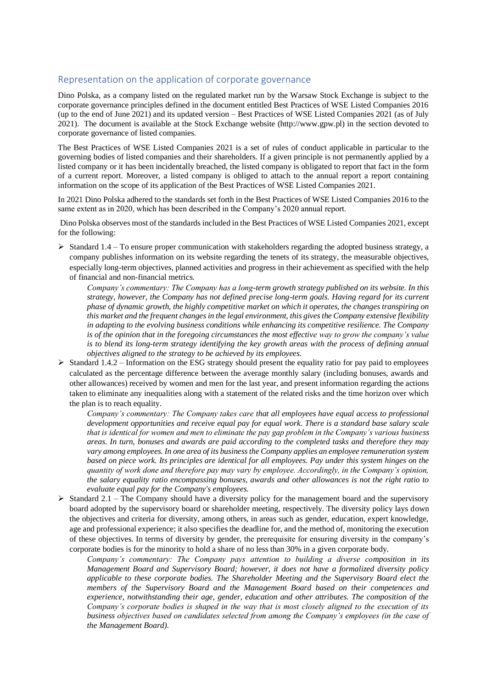## Representation on the application of corporate governance

Dino Polska, as a company listed on the regulated market run by the Warsaw Stock Exchange is subject to the corporate governance principles defined in the document entitled Best Practices of WSE Listed Companies 2016 (up to the end of June 2021) and its updated version – Best Practices of WSE Listed Companies 2021 (as of July 2021). The document is available at the Stock Exchange website (http://www.gpw.pl) in the section devoted to corporate governance of listed companies.

The Best Practices of WSE Listed Companies 2021 is a set of rules of conduct applicable in particular to the governing bodies of listed companies and their shareholders. If a given principle is not permanently applied by a listed company or it has been incidentally breached, the listed company is obligated to report that fact in the form of a current report. Moreover, a listed company is obliged to attach to the annual report a report containing information on the scope of its application of the Best Practices of WSE Listed Companies 2021.

In 2021 Dino Polska adhered to the standards set forth in the Best Practices of WSE Listed Companies 2016 to the same extent as in 2020, which has been described in the Company's 2020 annual report.

Dino Polska observes most of the standards included in the Best Practices of WSE Listed Companies 2021, except for the following:

- ➢ Standard 1.4 To ensure proper communication with stakeholders regarding the adopted business strategy, a company publishes information on its website regarding the tenets of its strategy, the measurable objectives, especially long-term objectives, planned activities and progress in their achievement as specified with the help of financial and non-financial metrics.
	- *Company's commentary: The Company has a long-term growth strategy published on its website. In this strategy, however, the Company has not defined precise long-term goals. Having regard for its current phase of dynamic growth, the highly competitive market on which it operates, the changes transpiring on this market and the frequent changes in the legal environment, this gives the Company extensive flexibility in adapting to the evolving business conditions while enhancing its competitive resilience. The Company is of the opinion that in the foregoing circumstances the most effective way to grow the company's value is to blend its long-term strategy identifying the key growth areas with the process of defining annual objectives aligned to the strategy to be achieved by its employees.*
- $\triangleright$  Standard 1.4.2 Information on the ESG strategy should present the equality ratio for pay paid to employees calculated as the percentage difference between the average monthly salary (including bonuses, awards and other allowances) received by women and men for the last year, and present information regarding the actions taken to eliminate any inequalities along with a statement of the related risks and the time horizon over which the plan is to reach equality.

*Company's commentary: The Company takes care that all employees have equal access to professional development opportunities and receive equal pay for equal work. There is a standard base salary scale that is identical for women and men to eliminate the pay gap problem in the Company's various business areas. In turn, bonuses and awards are paid according to the completed tasks and therefore they may vary among employees. In one area of its business the Company applies an employee remuneration system based on piece work. Its principles are identical for all employees. Pay under this system hinges on the quantity of work done and therefore pay may vary by employee. Accordingly, in the Company's opinion, the salary equality ratio encompassing bonuses, awards and other allowances is not the right ratio to evaluate equal pay for the Company's employees.*

 $\triangleright$  Standard 2.1 – The Company should have a diversity policy for the management board and the supervisory board adopted by the supervisory board or shareholder meeting, respectively. The diversity policy lays down the objectives and criteria for diversity, among others, in areas such as gender, education, expert knowledge, age and professional experience; it also specifies the deadline for, and the method of, monitoring the execution of these objectives. In terms of diversity by gender, the prerequisite for ensuring diversity in the company's corporate bodies is for the minority to hold a share of no less than 30% in a given corporate body.

*Company's commentary: The Company pays attention to building a diverse composition in its Management Board and Supervisory Board; however, it does not have a formalized diversity policy applicable to these corporate bodies. The Shareholder Meeting and the Supervisory Board elect the members of the Supervisory Board and the Management Board based on their competences and experience, notwithstanding their age, gender, education and other attributes. The composition of the Company's corporate bodies is shaped in the way that is most closely aligned to the execution of its business objectives based on candidates selected from among the Company's employees (in the case of the Management Board).*